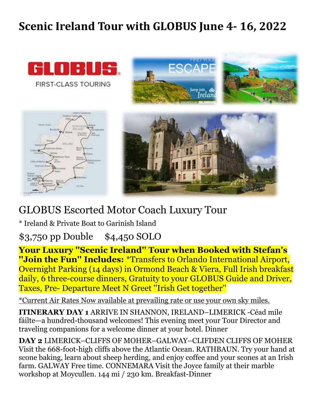## **Scenic Ireland Tour with GLOBUS June 4- 16, 2022**



**FIRST-CLASS TOURING** 









## GLOBUS Escorted Motor Coach Luxury Tour

\* Ireland & Private Boat to Garinish Island

\$3,750 pp Double \$4,450 SOLO

**Your Luxury ''Scenic Ireland'' Tour when Booked with Stefan's ''Join the Fun'' Includes:** \*Transfers to Orlando International Airport, Overnight Parking (14 days) in Ormond Beach & Viera, Full Irish breakfast daily, 6 three-course dinners, Gratuity to your GLOBUS Guide and Driver, Taxes, Pre- Departure Meet N Greet ''Irish Get together''

\*Current Air Rates Now available at prevailing rate or use your own sky miles.

**ITINERARY DAY 1** ARRIVE IN SHANNON, IRELAND–LIMERICK -Céad mile fáilte—a hundred-thousand welcomes! This evening meet your Tour Director and traveling companions for a welcome dinner at your hotel. Dinner

**DAY 2** LIMERICK–CLIFFS OF MOHER–GALWAY–CLIFDEN CLIFFS OF MOHER Visit the 668-foot-high cliffs above the Atlantic Ocean. RATHBAUN. Try your hand at scone baking, learn about sheep herding, and enjoy coffee and your scones at an Irish farm. GALWAY Free time. CONNEMARA Visit the Joyce family at their marble workshop at Moycullen. 144 mi / 230 km. Breakfast-Dinner